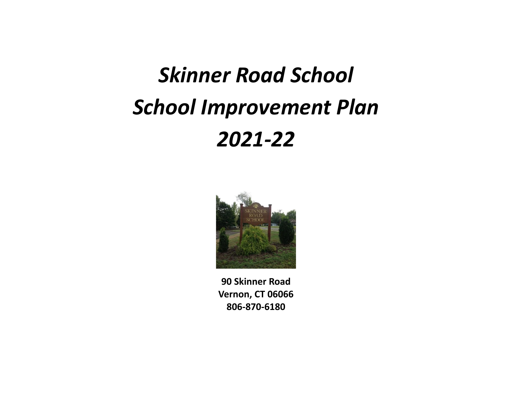# *Skinner Road School School Improvement Plan 2021-22*



**90 Skinner Road Vernon, CT 06066 806-870-6180**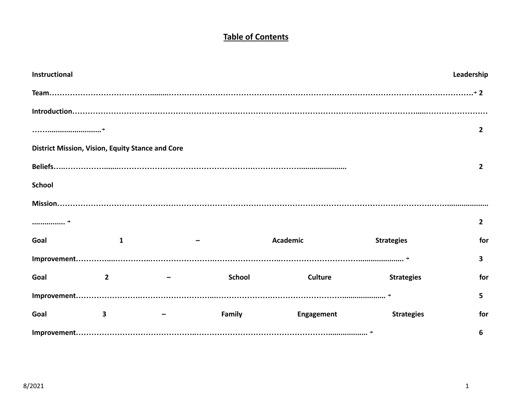# **Table of Contents**

| Instructional |                                                  |                          |                 |                   | Leadership              |
|---------------|--------------------------------------------------|--------------------------|-----------------|-------------------|-------------------------|
|               |                                                  |                          |                 |                   |                         |
|               |                                                  |                          |                 |                   |                         |
|               |                                                  |                          |                 |                   | $\mathbf{2}$            |
|               | District Mission, Vision, Equity Stance and Core |                          |                 |                   |                         |
|               |                                                  |                          |                 |                   | $\mathbf{2}$            |
| <b>School</b> |                                                  |                          |                 |                   |                         |
|               |                                                  |                          |                 |                   |                         |
|               |                                                  |                          |                 |                   | $\mathbf{2}$            |
| Goal          | $\mathbf{1}$                                     |                          | <b>Academic</b> | <b>Strategies</b> | for                     |
|               |                                                  |                          |                 |                   | $\overline{\mathbf{3}}$ |
| Goal          | $\overline{2}$                                   | <b>School</b>            | <b>Culture</b>  | <b>Strategies</b> | for                     |
|               |                                                  |                          |                 |                   | 5                       |
| Goal          | 3                                                | <b>Family Example 18</b> | Engagement      | <b>Strategies</b> | for                     |
|               |                                                  |                          |                 |                   | 6                       |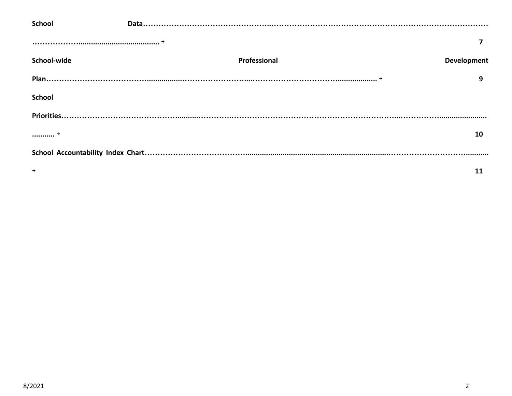| <b>School</b> |              |             |
|---------------|--------------|-------------|
|               |              |             |
| School-wide   | Professional | Development |
|               |              | 9           |
| <b>School</b> |              |             |
|               |              |             |
| . +           |              | 10          |
|               |              |             |
|               |              | 11          |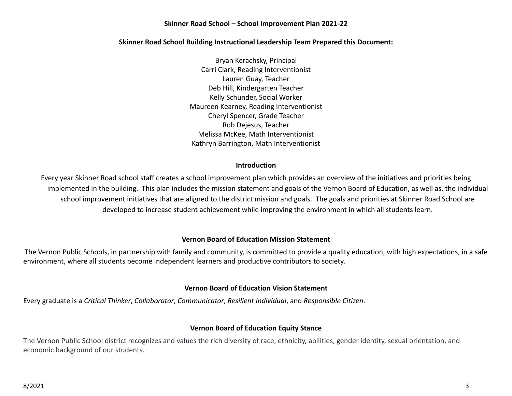**Skinner Road School – School Improvement Plan 2021-22**

#### **Skinner Road School Building Instructional Leadership Team Prepared this Document:**

Bryan Kerachsky, Principal Carri Clark, Reading Interventionist Lauren Guay, Teacher Deb Hill, Kindergarten Teacher Kelly Schunder, Social Worker Maureen Kearney, Reading Interventionist Cheryl Spencer, Grade Teacher Rob Dejesus, Teacher Melissa McKee, Math Interventionist Kathryn Barrington, Math Interventionist

#### **Introduction**

Every year Skinner Road school staff creates a school improvement plan which provides an overview of the initiatives and priorities being implemented in the building. This plan includes the mission statement and goals of the Vernon Board of Education, as well as, the individual school improvement initiatives that are aligned to the district mission and goals. The goals and priorities at Skinner Road School are developed to increase student achievement while improving the environment in which all students learn.

#### **Vernon Board of Education Mission Statement**

The Vernon Public Schools, in partnership with family and community, is committed to provide a quality education, with high expectations, in a safe environment, where all students become independent learners and productive contributors to society.

#### **Vernon Board of Education Vision Statement**

Every graduate is a *Critical Thinker*, *Collaborator*, *Communicator*, *Resilient Individual*, and *Responsible Citizen*.

#### **Vernon Board of Education Equity Stance**

The Vernon Public School district recognizes and values the rich diversity of race, ethnicity, abilities, gender identity, sexual orientation, and economic background of our students.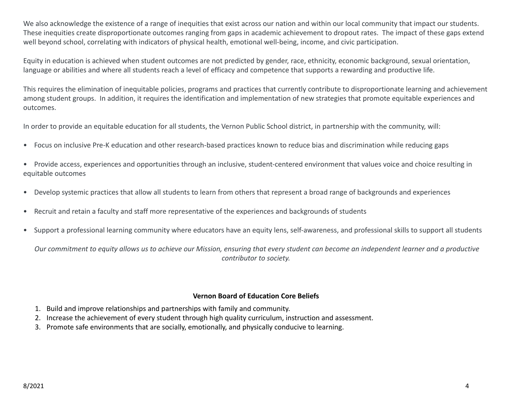We also acknowledge the existence of a range of inequities that exist across our nation and within our local community that impact our students. These inequities create disproportionate outcomes ranging from gaps in academic achievement to dropout rates. The impact of these gaps extend well beyond school, correlating with indicators of physical health, emotional well-being, income, and civic participation.

Equity in education is achieved when student outcomes are not predicted by gender, race, ethnicity, economic background, sexual orientation, language or abilities and where all students reach a level of efficacy and competence that supports a rewarding and productive life.

This requires the elimination of inequitable policies, programs and practices that currently contribute to disproportionate learning and achievement among student groups. In addition, it requires the identification and implementation of new strategies that promote equitable experiences and outcomes.

In order to provide an equitable education for all students, the Vernon Public School district, in partnership with the community, will:

• Focus on inclusive Pre-K education and other research-based practices known to reduce bias and discrimination while reducing gaps

• Provide access, experiences and opportunities through an inclusive, student-centered environment that values voice and choice resulting in equitable outcomes

- Develop systemic practices that allow all students to learn from others that represent a broad range of backgrounds and experiences
- Recruit and retain a faculty and staff more representative of the experiences and backgrounds of students
- Support a professional learning community where educators have an equity lens, self-awareness, and professional skills to support all students

*Our commitment to equity allows us to achieve our Mission, ensuring that every student can become an independent learner and a productive contributor to society.*

#### **Vernon Board of Education Core Beliefs**

- 1. Build and improve relationships and partnerships with family and community.
- 2. Increase the achievement of every student through high quality curriculum, instruction and assessment.
- 3. Promote safe environments that are socially, emotionally, and physically conducive to learning.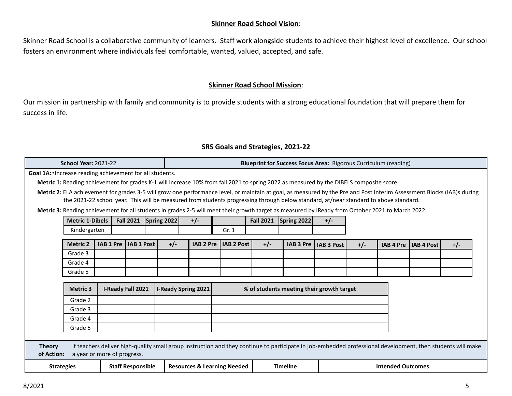#### **Skinner Road School Vision**:

Skinner Road School is a collaborative community of learners. Staff work alongside students to achieve their highest level of excellence. Our school fosters an environment where individuals feel comfortable, wanted, valued, accepted, and safe.

#### **Skinner Road School Mission**:

Our mission in partnership with family and community is to provide students with a strong educational foundation that will prepare them for success in life.

#### **SRS Goals and Strategies, 2021-22**

| <b>School Year: 2021-22</b>                   |                                                                                                                                                                                                          |           |  |                                        |             |                            |                 |                   |                  |                                                                                                                                                                        |                        |       |           |                   |       |  |
|-----------------------------------------------|----------------------------------------------------------------------------------------------------------------------------------------------------------------------------------------------------------|-----------|--|----------------------------------------|-------------|----------------------------|-----------------|-------------------|------------------|------------------------------------------------------------------------------------------------------------------------------------------------------------------------|------------------------|-------|-----------|-------------------|-------|--|
|                                               | Blueprint for Success Focus Area: Rigorous Curriculum (reading)<br>Goal 1A:*Increase reading achievement for all students.                                                                               |           |  |                                        |             |                            |                 |                   |                  |                                                                                                                                                                        |                        |       |           |                   |       |  |
|                                               |                                                                                                                                                                                                          |           |  |                                        |             |                            |                 |                   |                  |                                                                                                                                                                        |                        |       |           |                   |       |  |
|                                               |                                                                                                                                                                                                          |           |  |                                        |             |                            |                 |                   |                  | Metric 1: Reading achievement for grades K-1 will increase 10% from fall 2021 to spring 2022 as measured by the DIBELS composite score.                                |                        |       |           |                   |       |  |
|                                               |                                                                                                                                                                                                          |           |  |                                        |             |                            |                 |                   |                  | Metric 2: ELA achievement for grades 3-5 will grow one performance level, or maintain at goal, as measured by the Pre and Post Interim Assessment Blocks (IAB)s during |                        |       |           |                   |       |  |
|                                               |                                                                                                                                                                                                          |           |  |                                        |             |                            |                 |                   |                  | the 2021-22 school year. This will be measured from students progressing through below standard, at/near standard to above standard.                                   |                        |       |           |                   |       |  |
|                                               |                                                                                                                                                                                                          |           |  |                                        |             |                            |                 |                   |                  | Metric 3: Reading achievement for all students in grades 2-5 will meet their growth target as measured by IReady from October 2021 to March 2022.                      |                        |       |           |                   |       |  |
|                                               | <b>Metric 1-Dibels</b>                                                                                                                                                                                   |           |  | <b>Fall 2021</b>                       | Spring 2022 |                            | $+/-$           |                   | <b>Fall 2021</b> | Spring 2022                                                                                                                                                            | $+/-$                  |       |           |                   |       |  |
|                                               | Kindergarten                                                                                                                                                                                             |           |  |                                        |             |                            |                 | Gr. 1             |                  |                                                                                                                                                                        |                        |       |           |                   |       |  |
|                                               |                                                                                                                                                                                                          |           |  |                                        |             |                            |                 |                   |                  |                                                                                                                                                                        |                        |       |           |                   |       |  |
|                                               | <b>Metric 2</b>                                                                                                                                                                                          | IAB 1 Pre |  | <b>IAB 1 Post</b>                      |             | $+/-$                      | IAB 2 Pre       | <b>IAB 2 Post</b> | $+/-$            |                                                                                                                                                                        | IAB 3 Pre   IAB 3 Post | $+/-$ | IAB 4 Pre | <b>IAB 4 Post</b> | $+/-$ |  |
|                                               | Grade 3                                                                                                                                                                                                  |           |  |                                        |             |                            |                 |                   |                  |                                                                                                                                                                        |                        |       |           |                   |       |  |
|                                               | Grade 4                                                                                                                                                                                                  |           |  |                                        |             |                            |                 |                   |                  |                                                                                                                                                                        |                        |       |           |                   |       |  |
|                                               | Grade 5                                                                                                                                                                                                  |           |  |                                        |             |                            |                 |                   |                  |                                                                                                                                                                        |                        |       |           |                   |       |  |
|                                               |                                                                                                                                                                                                          |           |  |                                        |             |                            |                 |                   |                  |                                                                                                                                                                        |                        |       |           |                   |       |  |
|                                               | <b>Metric 3</b>                                                                                                                                                                                          |           |  | I-Ready Fall 2021                      |             | <b>I-Ready Spring 2021</b> |                 |                   |                  | % of students meeting their growth target                                                                                                                              |                        |       |           |                   |       |  |
|                                               | Grade 2                                                                                                                                                                                                  |           |  |                                        |             |                            |                 |                   |                  |                                                                                                                                                                        |                        |       |           |                   |       |  |
|                                               | Grade 3                                                                                                                                                                                                  |           |  |                                        |             |                            |                 |                   |                  |                                                                                                                                                                        |                        |       |           |                   |       |  |
|                                               | Grade 4                                                                                                                                                                                                  |           |  |                                        |             |                            |                 |                   |                  |                                                                                                                                                                        |                        |       |           |                   |       |  |
|                                               | Grade 5                                                                                                                                                                                                  |           |  |                                        |             |                            |                 |                   |                  |                                                                                                                                                                        |                        |       |           |                   |       |  |
|                                               |                                                                                                                                                                                                          |           |  |                                        |             |                            |                 |                   |                  |                                                                                                                                                                        |                        |       |           |                   |       |  |
| <b>Theory</b>                                 | If teachers deliver high-quality small group instruction and they continue to participate in job-embedded professional development, then students will make<br>of Action:<br>a year or more of progress. |           |  |                                        |             |                            |                 |                   |                  |                                                                                                                                                                        |                        |       |           |                   |       |  |
| <b>Staff Responsible</b><br><b>Strategies</b> |                                                                                                                                                                                                          |           |  | <b>Resources &amp; Learning Needed</b> |             |                            | <b>Timeline</b> |                   |                  | <b>Intended Outcomes</b>                                                                                                                                               |                        |       |           |                   |       |  |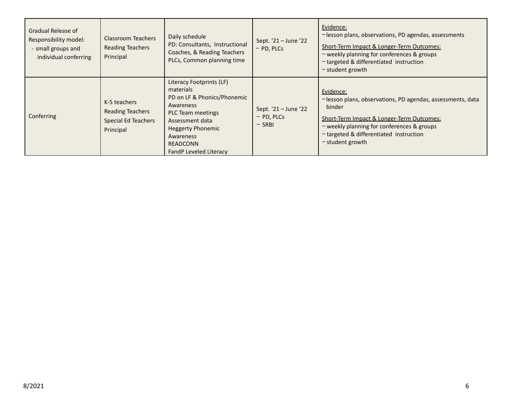| Gradual Release of<br>Responsibility model:<br>- small groups and<br>individual conferring | <b>Classroom Teachers</b><br><b>Reading Teachers</b><br>Principal                  | Daily schedule<br>PD: Consultants, Instructional<br>Coaches, & Reading Teachers<br>PLCs, Common planning time                                                                                                          | Sept. '21 - June '22<br>$-$ PD, PLCs             | Evidence:<br>-lesson plans, observations, PD agendas, assessments<br>Short-Term Impact & Longer-Term Outcomes:<br>- weekly planning for conferences & groups<br>- targeted & differentiated instruction<br>$-$ student growth                 |
|--------------------------------------------------------------------------------------------|------------------------------------------------------------------------------------|------------------------------------------------------------------------------------------------------------------------------------------------------------------------------------------------------------------------|--------------------------------------------------|-----------------------------------------------------------------------------------------------------------------------------------------------------------------------------------------------------------------------------------------------|
| Conferring                                                                                 | K-5 teachers<br><b>Reading Teachers</b><br><b>Special Ed Teachers</b><br>Principal | Literacy Footprints (LF)<br>materials<br>PD on LF & Phonics/Phonemic<br>Awareness<br>PLC Team meetings<br>Assessment data<br><b>Heggerty Phonemic</b><br>Awareness<br><b>READCONN</b><br><b>FandP Leveled Literacy</b> | Sept. '21 - June '22<br>$-$ PD, PLCs<br>$-$ SRBI | Evidence:<br>-lesson plans, observations, PD agendas, assessments, data<br>binder<br>Short-Term Impact & Longer-Term Outcomes:<br>- weekly planning for conferences & groups<br>- targeted & differentiated instruction<br>$-$ student growth |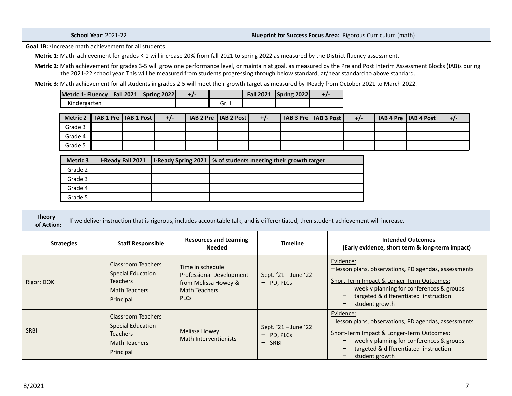**Goal 1B:**→Increase math achievement for all students.

**Metric 1:** Math achievement for grades K-1 will increase 20% from fall 2021 to spring 2022 as measured by the District fluency assessment.

**Metric 2:** Math achievement for grades 3-5 will grow one performance level, or maintain at goal, as measured by the Pre and Post Interim Assessment Blocks (IAB)s during the 2021-22 school year. This will be measured from students progressing through below standard, at/near standard to above standard.

**Metric 3:** Math achievement for all students in grades 2-5 will meet their growth target as measured by IReady from October 2021 to March 2022.

| Metric 1- Fluency Fall 2021 Spring 2022 |  |        | Fall 2021   Spring 2022 |  |
|-----------------------------------------|--|--------|-------------------------|--|
| Kindergarten                            |  | −Gr. ⊥ |                         |  |

| <b>Metric 2</b> | $IAB1$ Pre   $IAB1$ Post | $+/-$ | $\blacksquare$ IAB 2 Pre   IAB 2 Post | $+/-$ | $\vert$ IAB 3 Pre   IAB 3 Post | $+/-$ | IAB 4 Pre   IAB 4 Post |  |
|-----------------|--------------------------|-------|---------------------------------------|-------|--------------------------------|-------|------------------------|--|
| Grade 3         |                          |       |                                       |       |                                |       |                        |  |
| Grade 4         |                          |       |                                       |       |                                |       |                        |  |
| Grade 5         |                          |       |                                       |       |                                |       |                        |  |

| <b>Metric 3</b> | <b>I-Ready Fall 2021</b> | I-Ready Spring 2021   % of students meeting their growth target |
|-----------------|--------------------------|-----------------------------------------------------------------|
| Grade 2         |                          |                                                                 |
| Grade 3         |                          |                                                                 |
| Grade 4         |                          |                                                                 |
| Grade 5         |                          |                                                                 |

**Theory**

**h**  $\cdot$ If we deliver instruction that is rigorous, includes accountable talk, and is differentiated, then student achievement will increase.

| <b>Strategies</b> | <b>Staff Responsible</b>                                                                                      | <b>Resources and Learning</b><br><b>Needed</b>                                                       | <b>Timeline</b>                                                   | <b>Intended Outcomes</b><br>(Early evidence, short term & long-term impact)                                                                                                                                           |
|-------------------|---------------------------------------------------------------------------------------------------------------|------------------------------------------------------------------------------------------------------|-------------------------------------------------------------------|-----------------------------------------------------------------------------------------------------------------------------------------------------------------------------------------------------------------------|
| Rigor: DOK        | Classroom Teachers<br><b>Special Education</b><br><b>Teachers</b><br>Math Teachers<br>Principal               | Time in schedule<br>Professional Development<br>from Melissa Howey &<br>Math Teachers<br><b>PLCs</b> | Sept. '21 - June '22<br>$-$ PD. PLCs                              | Evidence:<br>-lesson plans, observations, PD agendas, assessments<br>Short-Term Impact & Longer-Term Outcomes:<br>weekly planning for conferences & groups<br>targeted & differentiated instruction<br>student growth |
| <b>SRBI</b>       | <b>Classroom Teachers</b><br><b>Special Education</b><br><b>Teachers</b><br><b>Math Teachers</b><br>Principal | Melissa Howey<br>Math Interventionists                                                               | Sept. $21 - June 22$<br>$-$ PD, PLCs<br>SRBI<br>$\qquad \qquad -$ | Evidence:<br>-lesson plans, observations, PD agendas, assessments<br>Short-Term Impact & Longer-Term Outcomes:<br>weekly planning for conferences & groups<br>targeted & differentiated instruction<br>student growth |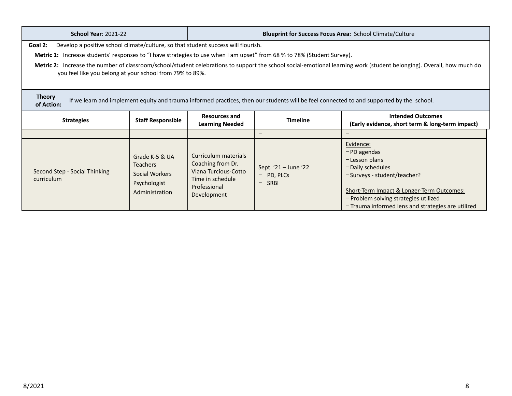| <b>School Year: 2021-22</b>                                                                                                                                                                                                                                                                                                                                                                                                                                  |                                                                                                                                          |                                                                                                                      | <b>Blueprint for Success Focus Area: School Climate/Culture</b>                  |                                                                                                                                                                                                                                            |  |  |  |  |
|--------------------------------------------------------------------------------------------------------------------------------------------------------------------------------------------------------------------------------------------------------------------------------------------------------------------------------------------------------------------------------------------------------------------------------------------------------------|------------------------------------------------------------------------------------------------------------------------------------------|----------------------------------------------------------------------------------------------------------------------|----------------------------------------------------------------------------------|--------------------------------------------------------------------------------------------------------------------------------------------------------------------------------------------------------------------------------------------|--|--|--|--|
| Develop a positive school climate/culture, so that student success will flourish.<br>Goal 2:<br>Metric 1: Increase students' responses to "I have strategies to use when I am upset" from 68 % to 78% (Student Survey).<br>Metric 2: Increase the number of classroom/school/student celebrations to support the school social-emotional learning work (student belonging). Overall, how much do<br>you feel like you belong at your school from 79% to 89%. |                                                                                                                                          |                                                                                                                      |                                                                                  |                                                                                                                                                                                                                                            |  |  |  |  |
| <b>Theory</b><br>of Action:                                                                                                                                                                                                                                                                                                                                                                                                                                  | If we learn and implement equity and trauma informed practices, then our students will be feel connected to and supported by the school. |                                                                                                                      |                                                                                  |                                                                                                                                                                                                                                            |  |  |  |  |
| <b>Strategies</b>                                                                                                                                                                                                                                                                                                                                                                                                                                            | <b>Staff Responsible</b>                                                                                                                 | <b>Intended Outcomes</b><br>(Early evidence, short term & long-term impact)                                          |                                                                                  |                                                                                                                                                                                                                                            |  |  |  |  |
|                                                                                                                                                                                                                                                                                                                                                                                                                                                              |                                                                                                                                          |                                                                                                                      |                                                                                  |                                                                                                                                                                                                                                            |  |  |  |  |
| Second Step - Social Thinking<br>curriculum                                                                                                                                                                                                                                                                                                                                                                                                                  | Grade K-5 & UA<br><b>Teachers</b><br>Social Workers<br>Psychologist<br>Administration                                                    | Curriculum materials<br>Coaching from Dr.<br>Viana Turcious-Cotto<br>Time in schedule<br>Professional<br>Development | Sept. '21 - June '22<br>PD, PLCs<br>-<br><b>SRBI</b><br>$\overline{\phantom{0}}$ | Evidence:<br>$-D$ agendas<br>-Lesson plans<br>- Daily schedules<br>-Surveys - student/teacher?<br>Short-Term Impact & Longer-Term Outcomes:<br>- Problem solving strategies utilized<br>- Trauma informed lens and strategies are utilized |  |  |  |  |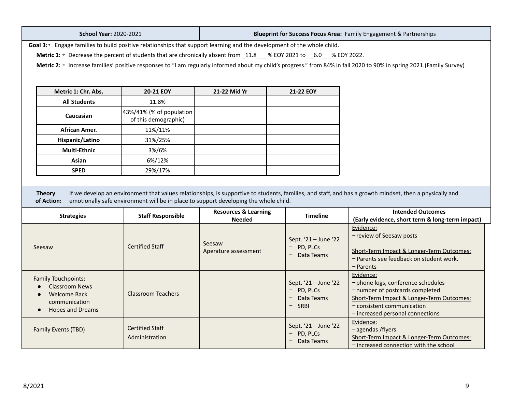| <b>School Year: 2020-2021</b> | Blueprint for Success Focus Area: Family Engagement & Partnerships |
|-------------------------------|--------------------------------------------------------------------|
|                               |                                                                    |

**Goal 3:**→ Engage families to build positive relationships that support learning and the development of the whole child.

**Metric 1:** → Decrease the percent of students that are chronically absent from \_11.8\_\_\_ % EOY 2021 to \_\_6.0\_\_% EOY 2022.

Metric 2: → Increase families' positive responses to "I am regularly informed about my child's progress." from 84% in fall 2020 to 90% in spring 2021.(Family Survey)

| Metric 1: Chr. Abs.    | 20-21 EOY                                        | 21-22 Mid Yr | 21-22 EOY |
|------------------------|--------------------------------------------------|--------------|-----------|
| <b>All Students</b>    | 11.8%                                            |              |           |
| Caucasian              | 43%/41% (% of population<br>of this demographic) |              |           |
| African Amer.          | 11%/11%                                          |              |           |
| Hispanic/Latino        | 31%/25%                                          |              |           |
| <b>Multi-Ethnic</b>    | 3%/6%                                            |              |           |
| Asian                  | 6%/12%                                           |              |           |
| 29%/17%<br><b>SPED</b> |                                                  |              |           |

**Theory of Action:** If we develop an environment that values relationships, is supportive to students, families, and staff, and has a growth mindset, then a physically and emotionally safe environment will be in place to support developing the whole child.

| <b>Staff Responsible</b><br><b>Strategies</b>                                                                   |                           | <b>Resources &amp; Learning</b><br><b>Needed</b>    | <b>Timeline</b>                                                                                                           | <b>Intended Outcomes</b><br>(Early evidence, short term & long-term impact)                                                                                                                       |  |
|-----------------------------------------------------------------------------------------------------------------|---------------------------|-----------------------------------------------------|---------------------------------------------------------------------------------------------------------------------------|---------------------------------------------------------------------------------------------------------------------------------------------------------------------------------------------------|--|
| Seesaw                                                                                                          | <b>Certified Staff</b>    | Seesaw<br>Aperature assessment                      | Sept. '21 – June '22<br>PD, PLCs<br>-<br>Data Teams                                                                       | Evidence:<br>-review of Seesaw posts<br>Short-Term Impact & Longer-Term Outcomes:<br>- Parents see feedback on student work.<br>$-$ Parents                                                       |  |
| <b>Family Touchpoints:</b><br>Classroom News<br><b>Welcome Back</b><br>communication<br><b>Hopes and Dreams</b> | <b>Classroom Teachers</b> |                                                     | Sept. $21 - June 22$<br>PD, PLCs<br>$-$<br>Data Teams<br><b>SRBI</b><br>-                                                 | Evidence:<br>-phone logs, conference schedules<br>-number of postcards completed<br>Short-Term Impact & Longer-Term Outcomes:<br>$-$ consistent communication<br>- increased personal connections |  |
| <b>Certified Staff</b><br>Family Events (TBD)<br>Administration                                                 |                           | Sept. '21 - June '22<br>PD, PLCs<br>-<br>Data Teams | Evidence:<br>$-$ agendas /flyers<br>Short-Term Impact & Longer-Term Outcomes:<br>$-$ increased connection with the school |                                                                                                                                                                                                   |  |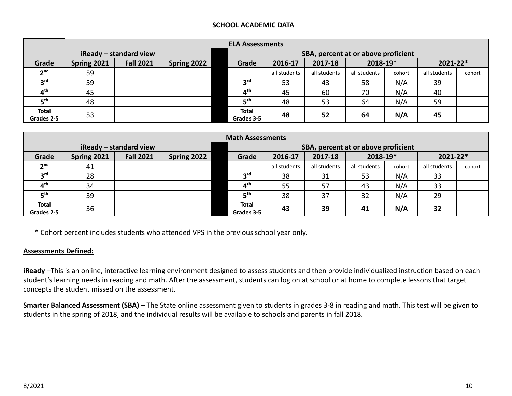#### **SCHOOL ACADEMIC DATA**

| <b>ELA Assessments</b>     |             |                  |             |  |                                         |              |              |              |          |              |        |
|----------------------------|-------------|------------------|-------------|--|-----------------------------------------|--------------|--------------|--------------|----------|--------------|--------|
| iReady – standard view     |             |                  |             |  | SBA, percent at or above proficient     |              |              |              |          |              |        |
| Grade                      | Spring 2021 | <b>Fall 2021</b> | Spring 2022 |  | 2018-19*<br>Grade<br>2017-18<br>2016-17 |              |              |              | 2021-22* |              |        |
| 2 <sub>nd</sub>            | 59          |                  |             |  |                                         | all students | all students | all students | cohort   | all students | cohort |
| 3 <sup>rd</sup>            | 59          |                  |             |  | 3 <sup>rd</sup>                         | 53           | 43           | 58           | N/A      | 39           |        |
| $\mathbf{A}^{\text{th}}$   | 45          |                  |             |  | 4 <sup>th</sup>                         | 45           | 60           | 70           | N/A      | 40           |        |
| $E^{th}$                   | 48          |                  |             |  | $E^{th}$                                | 48           | 53           | 64           | N/A      | 59           |        |
| <b>Total</b><br>Grades 2-5 | 53          |                  |             |  | Total<br>Grades 3-5                     | 48           | 52           | 64           | N/A      | 45           |        |

| <b>Math Assessments</b> |             |                  |             |                                     |              |              |              |        |              |        |
|-------------------------|-------------|------------------|-------------|-------------------------------------|--------------|--------------|--------------|--------|--------------|--------|
| iReady - standard view  |             |                  |             | SBA, percent at or above proficient |              |              |              |        |              |        |
| Grade                   | Spring 2021 | <b>Fall 2021</b> | Spring 2022 | Grade                               | 2016-17      | 2017-18      | 2018-19*     |        | 2021-22*     |        |
| 2 <sub>nd</sub>         | 41          |                  |             |                                     | all students | all students | all students | cohort | all students | cohort |
| <sub>o</sub> rd         | 28          |                  |             | <b>b</b> rd                         | 38           | 31           | 53           | N/A    | 33           |        |
| 4 <sup>th</sup>         | 34          |                  |             | 4 <sup>th</sup>                     | 55           | 57           | 43           | N/A    | 33           |        |
| $E$ <sup>th</sup>       | 39          |                  |             | 5 <sup>th</sup>                     | 38           | 37           | 32           | N/A    | 29           |        |
| Total<br>Grades 2-5     | 36          |                  |             | <b>Total</b><br>Grades 3-5          | 43           | 39           | 41           | N/A    | 32           |        |

**\*** Cohort percent includes students who attended VPS in the previous school year only.

#### **Assessments Defined:**

**iReady** –This is an online, interactive learning environment designed to assess students and then provide individualized instruction based on each student's learning needs in reading and math. After the assessment, students can log on at school or at home to complete lessons that target concepts the student missed on the assessment.

**Smarter Balanced Assessment (SBA) –** The State online assessment given to students in grades 3-8 in reading and math. This test will be given to students in the spring of 2018, and the individual results will be available to schools and parents in fall 2018.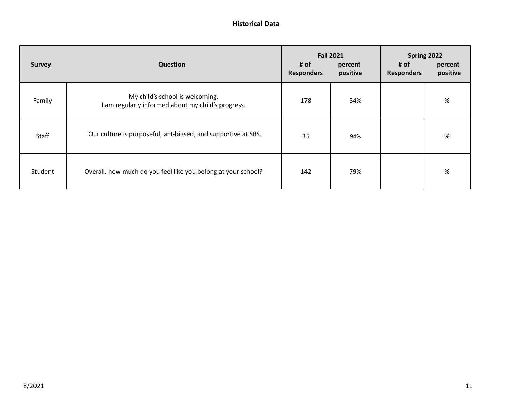### **Historical Data**

| <b>Survey</b> | Question                                                                              | # of<br><b>Responders</b> | <b>Fall 2021</b><br>percent<br>positive | Spring 2022<br># of<br>percent<br>positive<br><b>Responders</b> |   |
|---------------|---------------------------------------------------------------------------------------|---------------------------|-----------------------------------------|-----------------------------------------------------------------|---|
| Family        | My child's school is welcoming.<br>I am regularly informed about my child's progress. | 178                       | 84%                                     |                                                                 | % |
| Staff         | Our culture is purposeful, ant-biased, and supportive at SRS.                         | 35                        | 94%                                     |                                                                 | % |
| Student       | Overall, how much do you feel like you belong at your school?                         | 142                       | 79%                                     |                                                                 | % |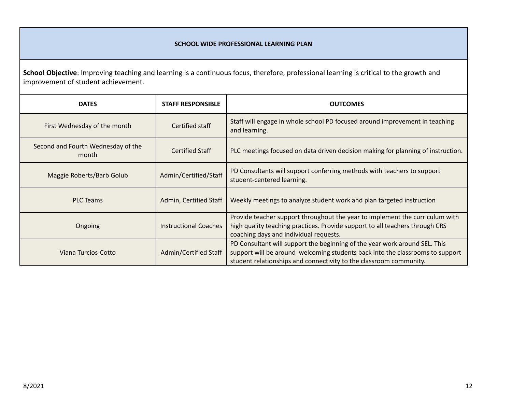#### **SCHOOL WIDE PROFESSIONAL LEARNING PLAN**

**School Objective**: Improving teaching and learning is a continuous focus, therefore, professional learning is critical to the growth and improvement of student achievement.

| <b>DATES</b>                                | <b>STAFF RESPONSIBLE</b>     | <b>OUTCOMES</b>                                                                                                                                                                                                                   |
|---------------------------------------------|------------------------------|-----------------------------------------------------------------------------------------------------------------------------------------------------------------------------------------------------------------------------------|
| First Wednesday of the month                | Certified staff              | Staff will engage in whole school PD focused around improvement in teaching<br>and learning.                                                                                                                                      |
| Second and Fourth Wednesday of the<br>month | <b>Certified Staff</b>       | PLC meetings focused on data driven decision making for planning of instruction.                                                                                                                                                  |
| Maggie Roberts/Barb Golub                   | Admin/Certified/Staff        | PD Consultants will support conferring methods with teachers to support<br>student-centered learning.                                                                                                                             |
| PLC Teams                                   | Admin, Certified Staff       | Weekly meetings to analyze student work and plan targeted instruction                                                                                                                                                             |
| Ongoing                                     | <b>Instructional Coaches</b> | Provide teacher support throughout the year to implement the curriculum with<br>high quality teaching practices. Provide support to all teachers through CRS<br>coaching days and individual requests.                            |
| Viana Turcios-Cotto                         | Admin/Certified Staff        | PD Consultant will support the beginning of the year work around SEL. This<br>support will be around welcoming students back into the classrooms to support<br>student relationships and connectivity to the classroom community. |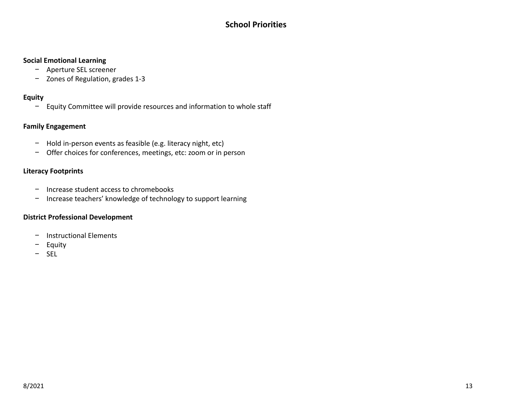## **School Priorities**

#### **Social Emotional Learning**

- − Aperture SEL screener
- − Zones of Regulation, grades 1-3

#### **Equity**

− Equity Committee will provide resources and information to whole staff

#### **Family Engagement**

- − Hold in-person events as feasible (e.g. literacy night, etc)
- − Offer choices for conferences, meetings, etc: zoom or in person

#### **Literacy Footprints**

- − Increase student access to chromebooks
- − Increase teachers' knowledge of technology to support learning

#### **District Professional Development**

- − Instructional Elements
- − Equity
- − SEL